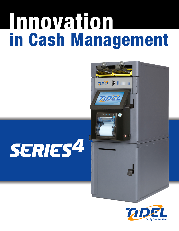# in Cash Management Innovation





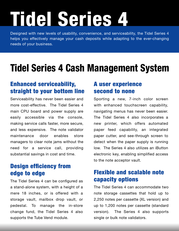# Tidel Series 4

Designed with new levels of usability, convenience, and serviceability, the Tidel Series 4 helps you effectively manage your cash deposits while adapting to the ever-changing needs of your business.

## Tidel Series 4 Cash Management System

### Enhanced serviceability, straight to your bottom line

Serviceability has never been easier and more cost-effective. The Tidel Series 4 main CPU board and power supply are easily accessible via the console, making service calls faster, more secure, and less expensive. The note validator maintenance door enables store managers to clear note jams without the need for a service call, providing substantial savings in cost and time.

# Design efficiency from

The Tidel Series 4 can be configured as a stand-alone system, with a height of a mere 18 inches, or is offered with a storage vault, mailbox drop vault, or pedestal. To manage the in-store change fund, the Tidel Series 4 also supports the Tube Vend module.

#### A user experience second to none

Sporting a new, 7-inch color screen with enhanced touchscreen capability, navigating menus has never been easier. The Tidel Series 4 also incorporates a new printer, which offers automated paper feed capability, an integrated paper cutter, and see-through screen to detect when the paper supply is running low. The Series 4 also utilizes an iButton electronic key, enabling simplified access to the note acceptor vault.

### edge to edge **Flexible and scalable note** capacity options

The Tidel Series 4 can accommodate two note storage cassettes that hold up to 2,250 notes per cassette (XL version) and up to 1,200 notes per cassette (standard version). The Series 4 also supports single or bulk note validators.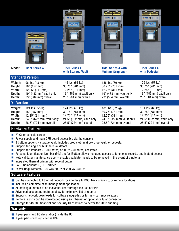

#### Hardware Features

- 7" Color console screen
- **Power supply and main CPU board accessible via the console**
- 3 bottom options storage vault (includes drop slot), mailbox drop vault, or pedestal n
- Support for single or bulk note validators n
- Support for standard (1,200 notes) or XL (2,250 notes) cassettes
- Personal Identification Number (PIN) and/or iButton allows managed access to functions, reports, and instant access
- $\blacksquare$  Note validator maintenance door  $-$  enables validator heads to be removed in the event of a note jam
- $\blacksquare$  Integrated thermal printer with receipt cutter
- RoHS Compliant/CE, UL Certified
- **Power Requirements: 120 VAC 60 Hz or 220 VAC 50 Hz**

#### Software Features

- Can be connected to Ethernet network for interface to POS, back office PC, or remote locations
- $\blacksquare$  Includes a complete cash management application
- All activity auditable to an individual user through the use of PINs n
- Advanced accounting features allow for extensive list of reports
- Supports network downloads for software upgrades or for new currency releases n
- Remote reports can be downloaded using an Ethernet or optional cellular connection
- Storage for 48,000 financial and security transactions to better facilitate auditing n

#### Warranty

- $\blacksquare$  1 year parts and 90 days labor (inside the US)
- 1 year parts only (outside the US)